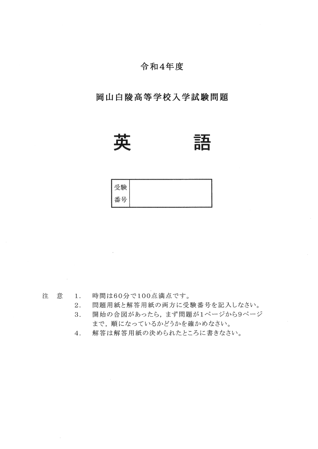#### 令和4年度

#### 岡山白陵高等学校入学試験問題



# 



1. 時間は60分で100点満点です。 注 意

- 問題用紙と解答用紙の両方に受験番号を記入しなさい。 2.
- 3. 開始の合図があったら、まず問題が1ページから9ページ まで、順になっているかどうかを確かめなさい。
- 解答は解答用紙の決められたところに書きなさい。 4.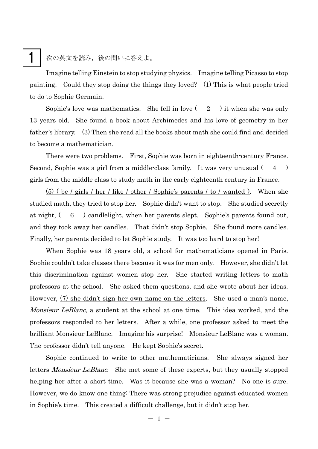## 1

次の英文を読み、後の問いに答えよ。

Imagine telling Einstein to stop studying physics. Imagine telling Picasso to stop painting. Could they stop doing the things they loved? (1) This is what people tried to do to Sophie Germain.

Sophie's love was mathematics. She fell in love  $(2)$  it when she was only 13 years old. She found a book about Archimedes and his love of geometry in her father's library. (3) Then she read all the books about math she could find and decided to become a mathematician.

There were two problems. First, Sophie was born in eighteenth-century France. Second, Sophie was a girl from a middle-class family. It was very unusual ( 4 ) girls from the middle class to study math in the early eighteenth century in France.

 $(5)$  ( be / girls / her / like / other / Sophie's parents / to / wanted ). When she studied math, they tried to stop her. Sophie didn't want to stop. She studied secretly at night, ( 6 ) candlelight, when her parents slept. Sophie's parents found out, and they took away her candles. That didn't stop Sophie. She found more candles. Finally, her parents decided to let Sophie study. It was too hard to stop her!

When Sophie was 18 years old, a school for mathematicians opened in Paris. Sophie couldn't take classes there because it was for men only. However, she didn't let this discrimination against women stop her. She started writing letters to math professors at the school. She asked them questions, and she wrote about her ideas. However, (7) she didn't sign her own name on the letters. She used a man's name, Monsieur LeBlanc, a student at the school at one time. This idea worked, and the professors responded to her letters. After a while, one professor asked to meet the brilliant Monsieur LeBlanc. Imagine his surprise! Monsieur LeBlanc was a woman. The professor didn't tell anyone. He kept Sophie's secret.

Sophie continued to write to other mathematicians. She always signed her letters *Monsieur LeBlanc*. She met some of these experts, but they usually stopped helping her after a short time. Was it because she was a woman? No one is sure. However, we do know one thing: There was strong prejudice against educated women in Sophie's time. This created a difficult challenge, but it didn't stop her.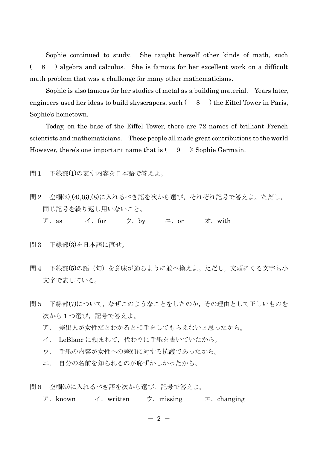Sophie continued to study. She taught herself other kinds of math, such ( 8 ) algebra and calculus. She is famous for her excellent work on a difficult math problem that was a challenge for many other mathematicians.

Sophie is also famous for her studies of metal as a building material. Years later, engineers used her ideas to build skyscrapers, such  $(8 \cdot)$  the Eiffel Tower in Paris, Sophie's hometown.

Today, on the base of the Eiffel Tower, there are 72 names of brilliant French scientists and mathematicians. These people all made great contributions to the world. However, there's one important name that is  $(9)$ : Sophie Germain.

問1 下線部(1)の表す内容を日本語で答えよ。

- 問2 空欄(2),(4),(6),(8)に入れるべき語を次から選び,それぞれ記号で答えよ。ただし, 同じ記号を繰り返し用いないこと。
	- ア. as  $\leq$  for ウ. by エ. on オ. with
- 問3 下線部(3)を日本語に直せ。
- 問4 下線部(5)の語(句)を意味が通るように並べ換えよ。ただし,文頭にくる文字も小 文字で表している。
- 問5 下線部(7)について,なぜこのようなことをしたのか,その理由として正しいものを 次から1つ選び、記号で答えよ。
	- ア. 差出人が女性だとわかると相手をしてもらえないと思ったから。
	- イ. LeBlanc に頼まれて,代わりに手紙を書いていたから。
	- ウ. 手紙の内容が女性への差別に対する抗議であったから。
	- エ. 自分の名前を知られるのが恥ずかしかったから。
- 問6 空欄(9)に入れるべき語を次から選び、記号で答えよ。
	- ア.known イ.written ウ.missing エ.changing

 $-2-$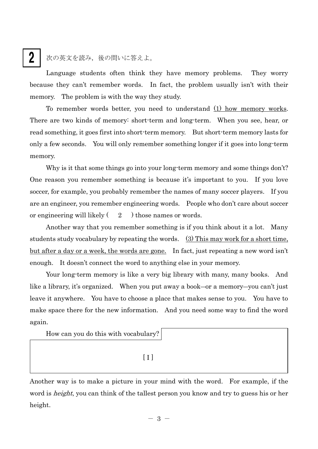## 2

次の英文を読み,後の問いに答えよ。

Language students often think they have memory problems. They worry because they can't remember words. In fact, the problem usually isn't with their memory. The problem is with the way they study.

To remember words better, you need to understand (1) how memory works. There are two kinds of memory: short-term and long-term. When you see, hear, or read something, it goes first into short-term memory. But short-term memory lasts for only a few seconds. You will only remember something longer if it goes into long-term memory.

Why is it that some things go into your long-term memory and some things don't? One reason you remember something is because it's important to you. If you love soccer, for example, you probably remember the names of many soccer players. If you are an engineer, you remember engineering words. People who don't care about soccer or engineering will likely  $(2)$  those names or words.

 Another way that you remember something is if you think about it a lot. Many students study vocabulary by repeating the words. (3) This may work for a short time, but after a day or a week, the words are gone. In fact, just repeating a new word isn't enough. It doesn't connect the word to anything else in your memory.

 Your long-term memory is like a very big library with many, many books. And like a library, it's organized. When you put away a book―or a memory―you can't just leave it anywhere. You have to choose a place that makes sense to you. You have to make space there for the new information. And you need some way to find the word again.

How can you do this with vocabulary?

 $\begin{bmatrix} 1 \end{bmatrix}$ 

Another way is to make a picture in your mind with the word. For example, if the word is *height*, you can think of the tallest person you know and try to guess his or her height.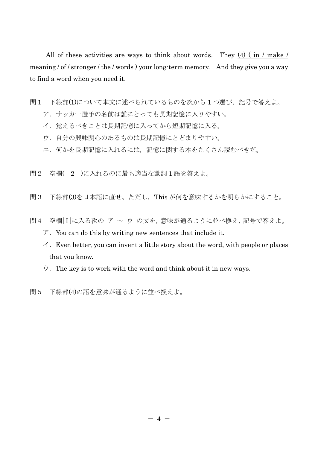All of these activities are ways to think about words. They  $(4)$  (in / make / meaning / of / stronger / the / words ) your long-term memory. And they give you a way to find a word when you need it.

- 問1 下線部(1)について本文に述べられているものを次から1つ選び,記号で答えよ。
	- ア.サッカー選手の名前は誰にとっても長期記憶に入りやすい。
	- イ.覚えるべきことは長期記憶に入ってから短期記憶に入る。
	- ウ.自分の興味関心のあるものは長期記憶にとどまりやすい。
	- エ.何かを長期記憶に入れるには,記憶に関する本をたくさん読むべきだ。
- 問2 空欄( 2 )に入れるのに最も適当な動詞 1 語を答えよ。
- 問3 下線部(3)を日本語に直せ。ただし,This が何を意味するかを明らかにすること。
- 問4 空欄[I]に入る次の ア ~ ウ の文を,意味が通るように並べ換え,記号で答えよ。
	- $\mathcal{T}$ . You can do this by writing new sentences that include it.
	- $\dot{\mathcal{A}}$ . Even better, you can invent a little story about the word, with people or places that you know.
	- $\dot{\triangledown}$ . The key is to work with the word and think about it in new ways.
- 問5 下線部(4)の語を意味が通るように並べ換えよ。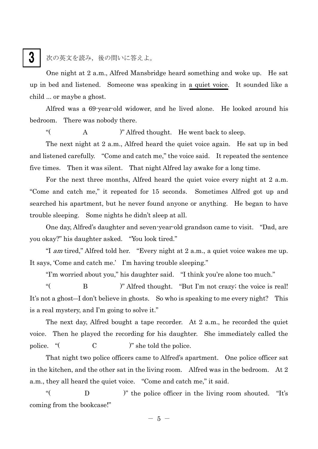### 次の英文を読み,後の問いに答えよ。

One night at 2 a.m., Alfred Mansbridge heard something and woke up. He sat up in bed and listened. Someone was speaking in a quiet voice. It sounded like a child ... or maybe a ghost.

Alfred was a 69-year-old widower, and he lived alone. He looked around his bedroom. There was nobody there.

"( A )" Alfred thought. He went back to sleep.

 The next night at 2 a.m., Alfred heard the quiet voice again. He sat up in bed and listened carefully. "Come and catch me," the voice said. It repeated the sentence five times. Then it was silent. That night Alfred lay awake for a long time.

 For the next three months, Alfred heard the quiet voice every night at 2 a.m. "Come and catch me," it repeated for 15 seconds. Sometimes Alfred got up and searched his apartment, but he never found anyone or anything. He began to have trouble sleeping. Some nights he didn't sleep at all.

 One day, Alfred's daughter and seven-year-old grandson came to visit. "Dad, are you okay?" his daughter asked. "You look tired."

 "I am tired," Alfred told her. "Every night at 2 a.m., a quiet voice wakes me up. It says, 'Come and catch me.' I'm having trouble sleeping."

"I'm worried about you," his daughter said. "I think you're alone too much."

 "( B )" Alfred thought. "But I'm not crazy; the voice is real! It's not a ghost―I don't believe in ghosts. So who is speaking to me every night? This is a real mystery, and I'm going to solve it."

 The next day, Alfred bought a tape recorder. At 2 a.m., he recorded the quiet voice. Then he played the recording for his daughter. She immediately called the police. "( C )" she told the police.

 That night two police officers came to Alfred's apartment. One police officer sat in the kitchen, and the other sat in the living room. Alfred was in the bedroom. At 2 a.m., they all heard the quiet voice. "Come and catch me," it said.

 "( D )" the police officer in the living room shouted. "It's coming from the bookcase!"

 $-5 -$ 

### 3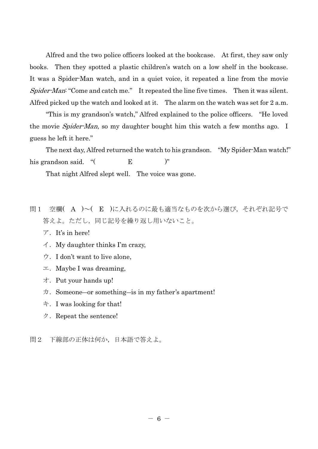Alfred and the two police officers looked at the bookcase. At first, they saw only books. Then they spotted a plastic children's watch on a low shelf in the bookcase. It was a Spider-Man watch, and in a quiet voice, it repeated a line from the movie Spider-Man: "Come and catch me." It repeated the line five times. Then it was silent. Alfred picked up the watch and looked at it. The alarm on the watch was set for 2 a.m.

 "This is my grandson's watch," Alfred explained to the police officers. "He loved the movie *Spider-Man*, so my daughter bought him this watch a few months ago. I guess he left it here."

 The next day, Alfred returned the watch to his grandson. "My Spider-Man watch!" his grandson said. "( **E**<sup>2</sup>)"

That night Alfred slept well. The voice was gone.

- 問1 空欄( A )~( E )に入れるのに最も適当なものを次から選び,それぞれ記号で 答えよ。ただし,同じ記号を繰り返し用いないこと。
	- $\mathcal{F}$ . It's in here!
	- $\angle$ . My daughter thinks I'm crazy,
	- ウ.I don't want to live alone,
	- $\pm$ . Maybe I was dreaming,
	- オ.Put your hands up!
	- $\pi$ . Someone—or something—is in my father's apartment!
	- キ.I was looking for that!
	- $\mathcal{P}$ . Repeat the sentence!

問2 下線部の正体は何か,日本語で答えよ。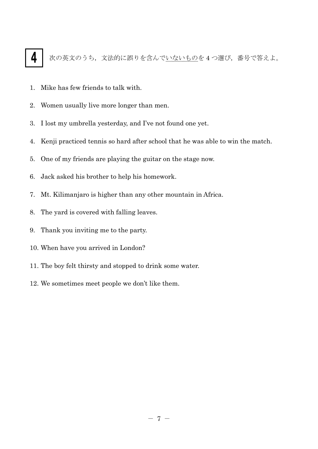# 4

次の英文のうち,文法的に誤りを含んでいないものを4つ選び,番号で答えよ。

- 1. Mike has few friends to talk with.
- 2. Women usually live more longer than men.
- 3. I lost my umbrella yesterday, and I've not found one yet.
- 4. Kenji practiced tennis so hard after school that he was able to win the match.
- 5. One of my friends are playing the guitar on the stage now.
- 6. Jack asked his brother to help his homework.
- 7. Mt. Kilimanjaro is higher than any other mountain in Africa.
- 8. The yard is covered with falling leaves.
- 9. Thank you inviting me to the party.
- 10. When have you arrived in London?
- 11. The boy felt thirsty and stopped to drink some water.
- 12. We sometimes meet people we don't like them.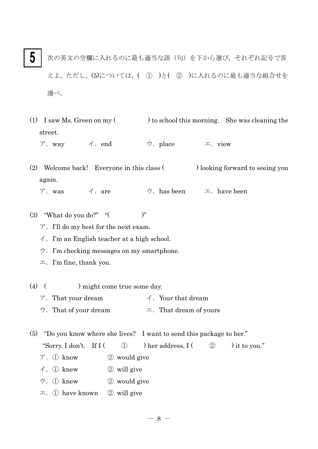- 次の英文の空欄に入れるのに最も適当な語(句)を下から選び,それぞれ記号で答 えよ。ただし,(5)については,( ① )と( ② )に入れるのに最も適当な組合せを 選べ。 5
- (1) I saw Ms. Green on my  $($ ) to school this morning. She was cleaning the street.

ア.way イ.end ウ.place エ.view

(2) Welcome back! Everyone in this class (blooking forward to seeing you again.

- ア.was イ.are ウ.has been エ.have been
- (3) "What do you do?"  $"$  ( )"
	- $\mathcal{T}$ . I'll do my best for the next exam.
	- イ.I'm an English teacher at a high school.
	- ウ.I'm checking messages on my smartphone.
	- $\mathfrak{m}$ . I'm fine, thank you.
- (4) ( ) might come true some day.
	- $\mathcal{T}$ . That your dream  $\mathcal{T}$ . Your that dream
	- ウ. That of your dream  $\pm$ . That dream of yours

(5) "Do you know where she lives? I want to send this package to her." "Sorry, I don't. If  $I$  (  $\oplus$  ) her address,  $I$  (  $\oplus$  ) it to you."

- ア.① know ② would give
- $\angle$ . ① knew  $\angle$  will give
- ウ.① knew ② would give
- $\pm$ . ① have known ② will give

 $- 8 -$